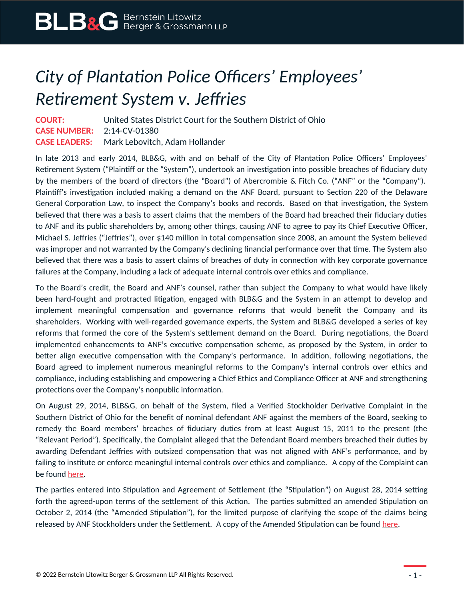## *City of Plantation Police Officers' Employees' Retirement System v. Jeffries*

**COURT:** United States District Court for the Southern District of Ohio **CASE NUMBER:** 2:14-CV-01380 **CASE LEADERS:** Mark Lebovitch, Adam Hollander

In late 2013 and early 2014, BLB&G, with and on behalf of the City of Plantation Police Officers' Employees' Retirement System ("Plaintiff or the "System"), undertook an investigation into possible breaches of fiduciary duty by the members of the board of directors (the "Board") of Abercrombie & Fitch Co. ("ANF" or the "Company"). Plaintiff's investigation included making a demand on the ANF Board, pursuant to Section 220 of the Delaware General Corporation Law, to inspect the Company's books and records. Based on that investigation, the System believed that there was a basis to assert claims that the members of the Board had breached their fiduciary duties to ANF and its public shareholders by, among other things, causing ANF to agree to pay its Chief Executive Officer, Michael S. Jeffries ("Jeffries"), over \$140 million in total compensation since 2008, an amount the System believed was improper and not warranted by the Company's declining financial performance over that time. The System also believed that there was a basis to assert claims of breaches of duty in connection with key corporate governance failures at the Company, including a lack of adequate internal controls over ethics and compliance.

To the Board's credit, the Board and ANF's counsel, rather than subject the Company to what would have likely been hard-fought and protracted litigation, engaged with BLB&G and the System in an attempt to develop and implement meaningful compensation and governance reforms that would benefit the Company and its shareholders. Working with well-regarded governance experts, the System and BLB&G developed a series of key reforms that formed the core of the System's settlement demand on the Board. During negotiations, the Board implemented enhancements to ANF's executive compensation scheme, as proposed by the System, in order to better align executive compensation with the Company's performance. In addition, following negotiations, the Board agreed to implement numerous meaningful reforms to the Company's internal controls over ethics and compliance, including establishing and empowering a Chief Ethics and Compliance Officer at ANF and strengthening protections over the Company's nonpublic information.

On August 29, 2014, BLB&G, on behalf of the System, filed a Verified Stockholder Derivative Complaint in the Southern District of Ohio for the benefit of nominal defendant ANF against the members of the Board, seeking to remedy the Board members' breaches of fiduciary duties from at least August 15, 2011 to the present (the "Relevant Period"). Specifically, the Complaint alleged that the Defendant Board members breached their duties by awarding Defendant Jeffries with outsized compensation that was not aligned with ANF's performance, and by failing to institute or enforce meaningful internal controls over ethics and compliance. A copy of the Complaint can be found [here](https://www.blbglaw.com/cases/abercrombie-fitch-co/_res/id=Attachments/index=3/2014-08-29%20COMPLAINT%20re%20City%20of%20Plantation%20Police%20Officers).

The parties entered into Stipulation and Agreement of Settlement (the "Stipulation") on August 28, 2014 setting forth the agreed-upon terms of the settlement of this Action. The parties submitted an amended Stipulation on October 2, 2014 (the "Amended Stipulation"), for the limited purpose of clarifying the scope of the claims being released by ANF Stockholders under the Settlement. A copy of the Amended Stipulation can be found [here](https://www.blbglaw.com/cases/abercrombie-fitch-co/_res/id=Attachments/index=2/2014-10-02%20Exhibit%201%20Amended%20Stipulation%20and%20Agreement%20of%20Settlement.pdf).